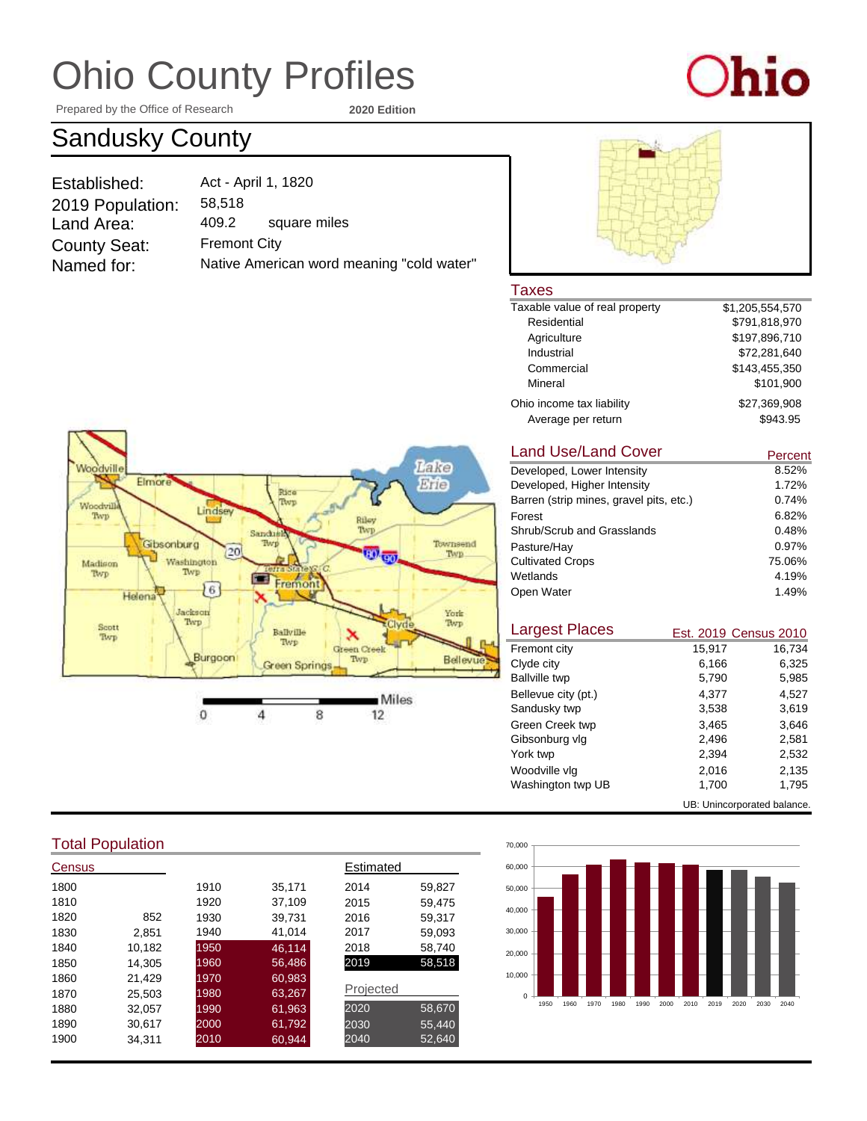# Ohio County Profiles

Prepared by the Office of Research **2020 Edition**

"cold water"



### Sandusky County

| Act - April 1, 1820 |                              |
|---------------------|------------------------------|
| 58,518              |                              |
| 409.2               | square miles                 |
| <b>Fremont City</b> |                              |
|                     | Native American word meaning |
|                     |                              |



### Taxes<br>Taxable

| Taxable value of real property | \$1,205,554,570 |
|--------------------------------|-----------------|
| Residential                    | \$791,818,970   |
| Agriculture                    | \$197,896,710   |
| Industrial                     | \$72,281,640    |
| Commercial                     | \$143.455.350   |
| Mineral                        | \$101,900       |
| Ohio income tax liability      | \$27.369.908    |
| Average per return             | \$943.95        |

#### Take **Noodvill** Elmore Erie Rice<br>Twp Woodvill Lindsey Twp Riley Twp. Sandusit Gibsonburg Townsend  $[20]$ <sup>(3)</sup> eo Twp. Washington<br>Twp Madison Twp Fremont  $16)$ Helena Jackson York Twp Twp Scott Ballyille Twp Twp Green Creek Burgoon  $\ensuremath{\text{Two}}\xspace$ Bellevue Green Springs Miles  $\bf{0}$  $\overline{4}$ 8  $12$

#### Land Use/Land Cover

| Land Use/Land Cover                     | Percent |
|-----------------------------------------|---------|
| Developed, Lower Intensity              | 8.52%   |
| Developed, Higher Intensity             | 1.72%   |
| Barren (strip mines, gravel pits, etc.) | 0.74%   |
| Forest                                  | 6.82%   |
| Shrub/Scrub and Grasslands              | 0.48%   |
| Pasture/Hay                             | 0.97%   |
| <b>Cultivated Crops</b>                 | 75.06%  |
| Wetlands                                | 4.19%   |
| Open Water                              | 1.49%   |
|                                         |         |

| <b>Largest Places</b>       |        | Est. 2019 Census 2010 |
|-----------------------------|--------|-----------------------|
| Fremont city                | 15,917 | 16,734                |
| Clyde city                  | 6,166  | 6.325                 |
| <b>Ballville twp</b>        | 5,790  | 5,985                 |
| Bellevue city (pt.)         | 4.377  | 4.527                 |
| Sandusky twp                | 3,538  | 3,619                 |
| Green Creek twp             | 3,465  | 3.646                 |
| Gibsonburg vlg              | 2.496  | 2.581                 |
| York twp                    | 2.394  | 2,532                 |
| Woodville vlg               | 2,016  | 2,135                 |
| Washington twp UB           | 1,700  | 1,795                 |
| UB: Unincorporated balance. |        |                       |



#### Total Population

| Census |        |      |        | Estimated |        |
|--------|--------|------|--------|-----------|--------|
| 1800   |        | 1910 | 35.171 | 2014      | 59,827 |
| 1810   |        | 1920 | 37,109 | 2015      | 59,475 |
| 1820   | 852    | 1930 | 39,731 | 2016      | 59,317 |
| 1830   | 2.851  | 1940 | 41,014 | 2017      | 59,093 |
| 1840   | 10,182 | 1950 | 46.114 | 2018      | 58,740 |
| 1850   | 14.305 | 1960 | 56,486 | 2019      | 58,518 |
| 1860   | 21,429 | 1970 | 60,983 |           |        |
| 1870   | 25.503 | 1980 | 63,267 | Projected |        |
| 1880   | 32,057 | 1990 | 61,963 | 2020      | 58,670 |
| 1890   | 30.617 | 2000 | 61,792 | 2030      | 55,440 |
| 1900   | 34.311 | 2010 | 60,944 | 2040      | 52,640 |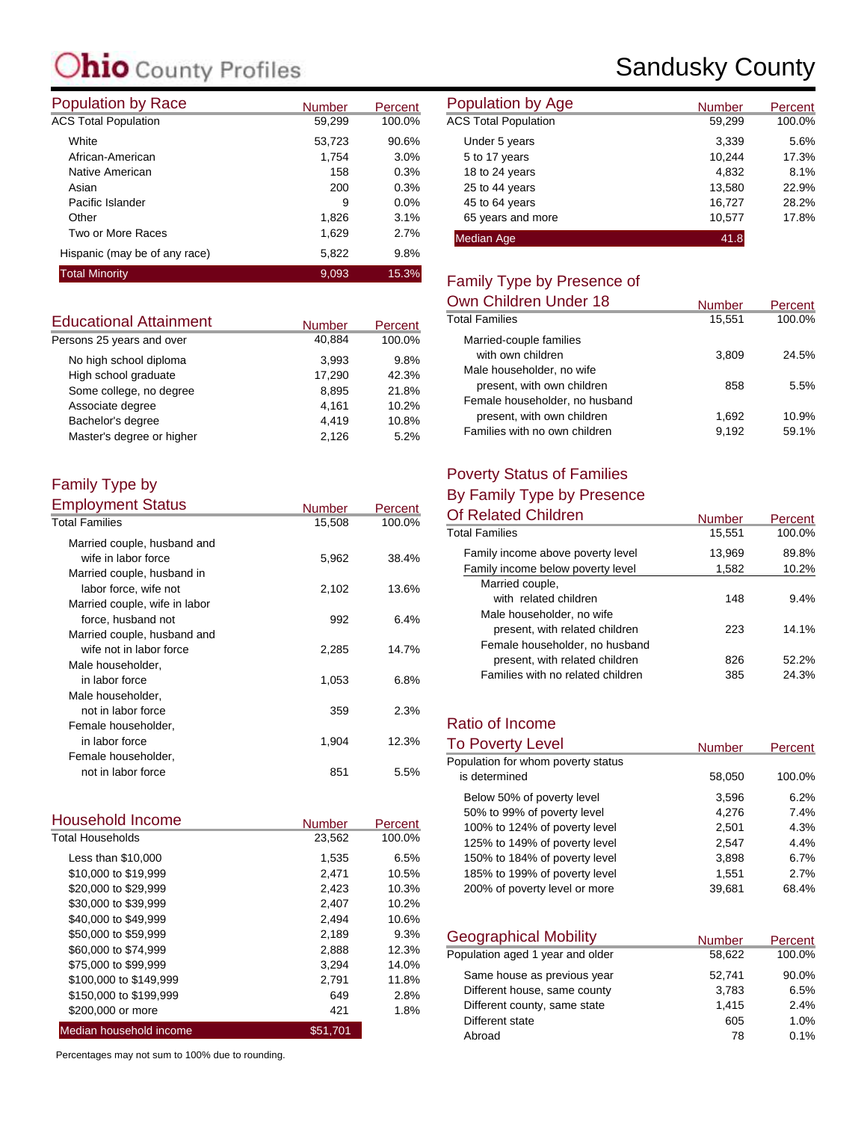### **hio** County Profiles

| <b>Population by Race</b>     | <b>Number</b> | Percent | <b>Population by Age</b>    |
|-------------------------------|---------------|---------|-----------------------------|
| <b>ACS Total Population</b>   | 59,299        | 100.0%  | <b>ACS Total Population</b> |
| White                         | 53,723        | 90.6%   | Under 5 years               |
| African-American              | 1.754         | 3.0%    | 5 to 17 years               |
| Native American               | 158           | 0.3%    | 18 to 24 years              |
| Asian                         | 200           | 0.3%    | 25 to 44 years              |
| Pacific Islander              | 9             | $0.0\%$ | 45 to 64 years              |
| Other                         | 1,826         | 3.1%    | 65 years and more           |
| Two or More Races             | 1,629         | 2.7%    | <b>Median Age</b>           |
| Hispanic (may be of any race) | 5,822         | 9.8%    |                             |
| <b>Total Minority</b>         | 9,093         | 15.3%   | Eamily Type by Dr           |

| <b>Educational Attainment</b> | <b>Number</b> | Percent |
|-------------------------------|---------------|---------|
| Persons 25 years and over     | 40.884        | 100.0%  |
| No high school diploma        | 3.993         | 9.8%    |
| High school graduate          | 17,290        | 42.3%   |
| Some college, no degree       | 8.895         | 21.8%   |
| Associate degree              | 4,161         | 10.2%   |
| Bachelor's degree             | 4,419         | 10.8%   |
| Master's degree or higher     | 2.126         | 5.2%    |

#### Family Type by Employment Status

| Employment Status             | <b>Number</b> | Percent |
|-------------------------------|---------------|---------|
| <b>Total Families</b>         | 15,508        | 100.0%  |
| Married couple, husband and   |               |         |
| wife in labor force           | 5,962         | 38.4%   |
| Married couple, husband in    |               |         |
| labor force, wife not         | 2,102         | 13.6%   |
| Married couple, wife in labor |               |         |
| force, husband not            | 992           | 6.4%    |
| Married couple, husband and   |               |         |
| wife not in labor force       | 2,285         | 14.7%   |
| Male householder,             |               |         |
| in labor force                | 1,053         | 6.8%    |
| Male householder,             |               |         |
| not in labor force            | 359           | 2.3%    |
| Female householder,           |               |         |
| in labor force                | 1,904         | 12.3%   |
| Female householder,           |               |         |
| not in labor force            | 851           | 5.5%    |

| Household Income        | <b>Number</b> | Percent |
|-------------------------|---------------|---------|
| <b>Total Households</b> | 23,562        | 100.0%  |
| Less than \$10,000      | 1,535         | 6.5%    |
| \$10,000 to \$19,999    | 2.471         | 10.5%   |
| \$20,000 to \$29,999    | 2,423         | 10.3%   |
| \$30,000 to \$39,999    | 2,407         | 10.2%   |
| \$40,000 to \$49,999    | 2.494         | 10.6%   |
| \$50,000 to \$59,999    | 2,189         | 9.3%    |
| \$60,000 to \$74,999    | 2,888         | 12.3%   |
| \$75,000 to \$99,999    | 3,294         | 14.0%   |
| \$100,000 to \$149,999  | 2,791         | 11.8%   |
| \$150,000 to \$199,999  | 649           | 2.8%    |
| \$200,000 or more       | 421           | 1.8%    |
| Median household income | \$51,701      |         |

Percentages may not sum to 100% due to rounding.

### Sandusky County

| <b>Number</b> | Percent | Population by Age           | <b>Number</b> | Percent |
|---------------|---------|-----------------------------|---------------|---------|
| 59,299        | 100.0%  | <b>ACS Total Population</b> | 59,299        | 100.0%  |
| 53,723        | 90.6%   | Under 5 years               | 3,339         | 5.6%    |
| 1.754         | 3.0%    | 5 to 17 years               | 10.244        | 17.3%   |
| 158           | 0.3%    | 18 to 24 years              | 4,832         | 8.1%    |
| 200           | 0.3%    | 25 to 44 years              | 13,580        | 22.9%   |
| 9             | 0.0%    | 45 to 64 years              | 16,727        | 28.2%   |
| 1,826         | 3.1%    | 65 years and more           | 10.577        | 17.8%   |
| 1,629         | 2.7%    | Median Age                  | 41.8          |         |

#### Family Type by Presence of

| Own Children Under 18          | <b>Number</b> | Percent |
|--------------------------------|---------------|---------|
| <b>Total Families</b>          | 15,551        | 100.0%  |
| Married-couple families        |               |         |
| with own children              | 3.809         | 24.5%   |
| Male householder, no wife      |               |         |
| present, with own children     | 858           | 5.5%    |
| Female householder, no husband |               |         |
| present, with own children     | 1.692         | 10.9%   |
| Families with no own children  | 9.192         | 59.1%   |

#### Poverty Status of Families

#### By Family Type by Presence

| <b>Number</b> | Percent |
|---------------|---------|
| 15,551        | 100.0%  |
| 13,969        | 89.8%   |
| 1,582         | 10.2%   |
|               |         |
| 148           | 9.4%    |
|               |         |
| 223           | 14.1%   |
|               |         |
| 826           | 52.2%   |
| 385           | 24.3%   |
|               |         |

#### Ratio of Income

| <b>To Poverty Level</b>            | <b>Number</b> | <b>Percent</b> |
|------------------------------------|---------------|----------------|
| Population for whom poverty status |               |                |
| is determined                      | 58,050        | 100.0%         |
| Below 50% of poverty level         | 3,596         | 6.2%           |
| 50% to 99% of poverty level        | 4.276         | 7.4%           |
| 100% to 124% of poverty level      | 2,501         | 4.3%           |
| 125% to 149% of poverty level      | 2,547         | 4.4%           |
| 150% to 184% of poverty level      | 3,898         | 6.7%           |
| 185% to 199% of poverty level      | 1.551         | 2.7%           |
| 200% of poverty level or more      | 39.681        | 68.4%          |

| <b>Geographical Mobility</b>     | <b>Number</b> | Percent |
|----------------------------------|---------------|---------|
| Population aged 1 year and older | 58,622        | 100.0%  |
| Same house as previous year      | 52,741        | 90.0%   |
| Different house, same county     | 3,783         | 6.5%    |
| Different county, same state     | 1,415         | 2.4%    |
| Different state                  | 605           | 1.0%    |
| Abroad                           | 78            | 0.1%    |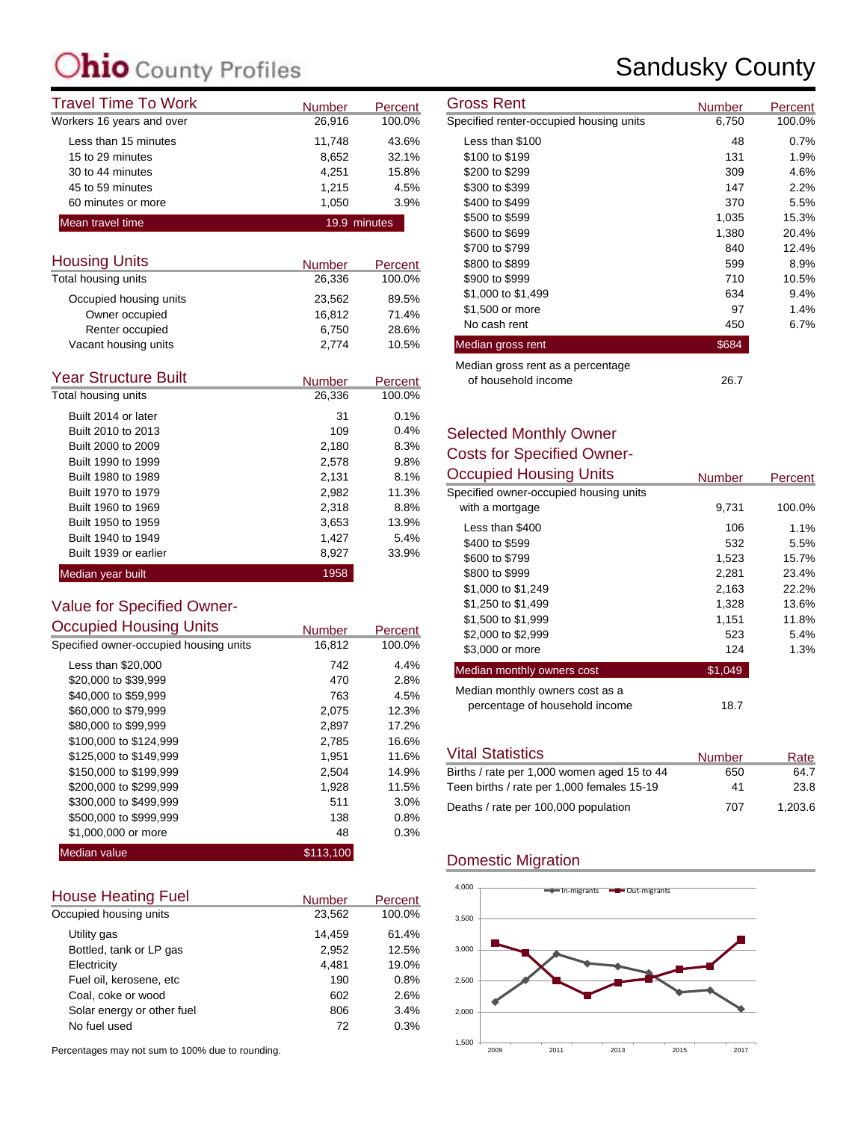### **C**ounty Profiles

| <b>Travel Time To Work</b> | <b>Number</b> | Percent      | <b>Gross Rent</b>                       | Number          |
|----------------------------|---------------|--------------|-----------------------------------------|-----------------|
| Workers 16 years and over  | 26,916        | 100.0%       | Specified renter-occupied housing units | 6,750           |
| Less than 15 minutes       | 11.748        | 43.6%        | Less than \$100                         | 48              |
| 15 to 29 minutes           | 8.652         | 32.1%        | \$100 to \$199                          | 131             |
| 30 to 44 minutes           | 4.251         | 15.8%        | \$200 to \$299                          | 309             |
| 45 to 59 minutes           | 1.215         | 4.5%         | \$300 to \$399                          | 147             |
| 60 minutes or more         | 1.050         | 3.9%         | \$400 to \$499                          | 37 <sub>C</sub> |
| Mean travel time           |               | 19.9 minutes | \$500 to \$599                          | 1,035           |
|                            |               |              | .                                       | .               |

| <b>Housing Units</b>   | <b>Number</b> | Percent |
|------------------------|---------------|---------|
| Total housing units    | 26,336        | 100.0%  |
| Occupied housing units | 23,562        | 89.5%   |
| Owner occupied         | 16.812        | 71.4%   |
| Renter occupied        | 6.750         | 28.6%   |
| Vacant housing units   | 2,774         | 10.5%   |

| <b>Year Structure Built</b> | <b>Number</b> | Percent |
|-----------------------------|---------------|---------|
| Total housing units         | 26,336        | 100.0%  |
| Built 2014 or later         | 31            | 0.1%    |
| Built 2010 to 2013          | 109           | 0.4%    |
| Built 2000 to 2009          | 2,180         | 8.3%    |
| Built 1990 to 1999          | 2,578         | 9.8%    |
| Built 1980 to 1989          | 2,131         | 8.1%    |
| Built 1970 to 1979          | 2,982         | 11.3%   |
| Built 1960 to 1969          | 2,318         | 8.8%    |
| Built 1950 to 1959          | 3,653         | 13.9%   |
| Built 1940 to 1949          | 1,427         | 5.4%    |
| Built 1939 or earlier       | 8,927         | 33.9%   |
| Median year built           | 1958          |         |

### Value for Specified Owner-

| <b>Occupied Housing Units</b>          | <b>Number</b> | Percent |
|----------------------------------------|---------------|---------|
| Specified owner-occupied housing units | 16,812        | 100.0%  |
| Less than \$20,000                     | 742           | 4.4%    |
| \$20,000 to \$39,999                   | 470           | 2.8%    |
| \$40,000 to \$59.999                   | 763           | 4.5%    |
| \$60,000 to \$79,999                   | 2,075         | 12.3%   |
| \$80,000 to \$99,999                   | 2,897         | 17.2%   |
| \$100,000 to \$124,999                 | 2,785         | 16.6%   |
| \$125,000 to \$149,999                 | 1,951         | 11.6%   |
| \$150,000 to \$199,999                 | 2,504         | 14.9%   |
| \$200,000 to \$299,999                 | 1,928         | 11.5%   |
| \$300,000 to \$499,999                 | 511           | 3.0%    |
| \$500,000 to \$999,999                 | 138           | 0.8%    |
| \$1,000,000 or more                    | 48            | 0.3%    |
| <b>Median value</b>                    | \$113,100     |         |

| <b>House Heating Fuel</b>  | <b>Number</b> | Percent |
|----------------------------|---------------|---------|
| Occupied housing units     | 23,562        | 100.0%  |
| Utility gas                | 14,459        | 61.4%   |
| Bottled, tank or LP gas    | 2,952         | 12.5%   |
| Electricity                | 4.481         | 19.0%   |
| Fuel oil, kerosene, etc    | 190           | 0.8%    |
| Coal, coke or wood         | 602           | 2.6%    |
| Solar energy or other fuel | 806           | 3.4%    |
| No fuel used               | 72            | 0.3%    |

Percentages may not sum to 100% due to rounding.

### Sandusky County

| Gross Rent                                               | <b>Number</b> | Percent |
|----------------------------------------------------------|---------------|---------|
| Specified renter-occupied housing units                  | 6,750         | 100.0%  |
| Less than \$100                                          | 48            | 0.7%    |
| \$100 to \$199                                           | 131           | 1.9%    |
| \$200 to \$299                                           | 309           | 4.6%    |
| \$300 to \$399                                           | 147           | 2.2%    |
| \$400 to \$499                                           | 370           | 5.5%    |
| \$500 to \$599                                           | 1,035         | 15.3%   |
| \$600 to \$699                                           | 1,380         | 20.4%   |
| \$700 to \$799                                           | 840           | 12.4%   |
| \$800 to \$899                                           | 599           | 8.9%    |
| \$900 to \$999                                           | 710           | 10.5%   |
| \$1,000 to \$1,499                                       | 634           | 9.4%    |
| \$1,500 or more                                          | 97            | 1.4%    |
| No cash rent                                             | 450           | 6.7%    |
| Median gross rent                                        | \$684         |         |
| Median gross rent as a percentage<br>of household income | 26.7          |         |

#### Selected Monthly Owner Costs for Specified Owner-

| <b>Occupied Housing Units</b>          | <b>Number</b> | Percent |
|----------------------------------------|---------------|---------|
| Specified owner-occupied housing units |               |         |
| with a mortgage                        | 9,731         | 100.0%  |
| Less than \$400                        | 106           | $1.1\%$ |
| \$400 to \$599                         | 532           | 5.5%    |
| \$600 to \$799                         | 1,523         | 15.7%   |
| \$800 to \$999                         | 2,281         | 23.4%   |
| \$1,000 to \$1,249                     | 2,163         | 22.2%   |
| \$1,250 to \$1,499                     | 1,328         | 13.6%   |
| \$1,500 to \$1,999                     | 1,151         | 11.8%   |
| \$2,000 to \$2,999                     | 523           | 5.4%    |
| \$3,000 or more                        | 124           | 1.3%    |
| Median monthly owners cost             | \$1,049       |         |
| Median monthly owners cost as a        |               |         |
| percentage of household income         | 18.7          |         |

| <b>Vital Statistics</b>                     | <b>Number</b> | Rate    |
|---------------------------------------------|---------------|---------|
| Births / rate per 1,000 women aged 15 to 44 | 650           | 64.7    |
| Teen births / rate per 1,000 females 15-19  | 41            | 23.8    |
| Deaths / rate per 100,000 population        | 707           | 1.203.6 |

#### Domestic Migration

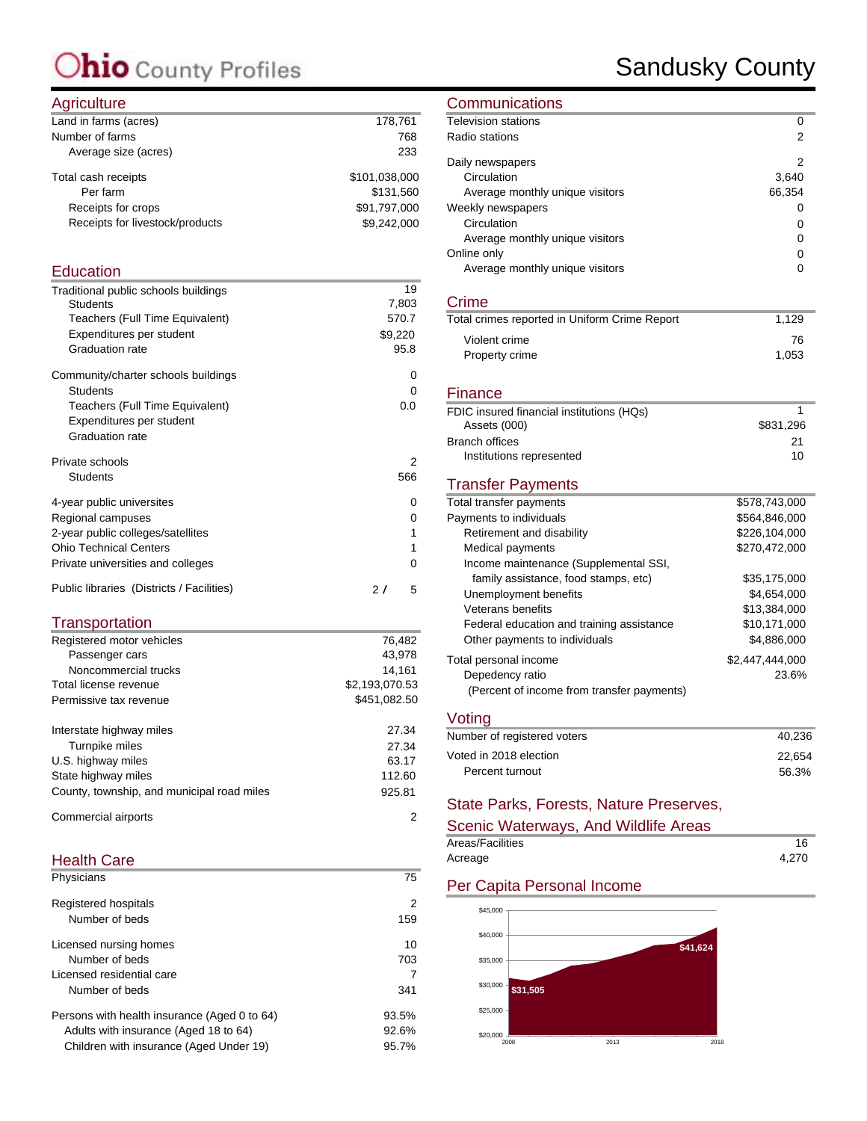### Ohio County Profiles

### Sandusky County

#### **Agriculture**

| $1.9110$ and $0.1$              |               |
|---------------------------------|---------------|
| Land in farms (acres)           | 178,761       |
| Number of farms                 | 768           |
| Average size (acres)            | 233           |
| Total cash receipts             | \$101,038,000 |
| Per farm                        | \$131.560     |
| Receipts for crops              | \$91,797,000  |
| Receipts for livestock/products | \$9,242,000   |
|                                 |               |

#### **Education**

| Traditional public schools buildings | 19       |
|--------------------------------------|----------|
| <b>Students</b>                      | 7,803    |
| Teachers (Full Time Equivalent)      | 570.7    |
| Expenditures per student             | \$9,220  |
| <b>Graduation rate</b>               | 95.8     |
| Community/charter schools buildings  | 0        |
| Students                             | 0        |
| Teachers (Full Time Equivalent)      | 0.0      |
| Expenditures per student             |          |
| <b>Graduation rate</b>               |          |
|                                      |          |
| Private schools                      | 2        |
| <b>Students</b>                      | 566      |
| 4-year public universites            | 0        |
| Regional campuses                    | 0        |
| 2-year public colleges/satellites    | 1        |
| <b>Ohio Technical Centers</b>        | 1        |
| Private universities and colleges    | $\Omega$ |

#### **Transportation**

| Registered motor vehicles                  | 76.482         |
|--------------------------------------------|----------------|
| Passenger cars                             | 43,978         |
| Noncommercial trucks                       | 14.161         |
| Total license revenue                      | \$2,193,070.53 |
| Permissive tax revenue                     | \$451,082.50   |
| Interstate highway miles                   | 27.34          |
| Turnpike miles                             | 27.34          |
| U.S. highway miles                         | 63.17          |
| State highway miles                        | 112.60         |
| County, township, and municipal road miles | 925.81         |
| Commercial airports                        | 2              |

#### Health Care

| Physicians                                   | 75    |
|----------------------------------------------|-------|
| Registered hospitals                         | 2     |
| Number of beds                               | 159   |
| Licensed nursing homes                       | 10    |
| Number of beds                               | 703   |
| Licensed residential care                    | 7     |
| Number of beds                               | 341   |
| Persons with health insurance (Aged 0 to 64) | 93.5% |
| Adults with insurance (Aged 18 to 64)        | 92.6% |
| Children with insurance (Aged Under 19)      | 95.7% |
|                                              |       |

#### **Communications**

| <b>Television stations</b>                    | 0               |
|-----------------------------------------------|-----------------|
| Radio stations                                | 2               |
| Daily newspapers                              | 2               |
| Circulation                                   | 3,640           |
| Average monthly unique visitors               | 66,354          |
| Weekly newspapers                             | 0               |
| Circulation                                   | 0               |
| Average monthly unique visitors               | 0               |
| Online only                                   | 0               |
| Average monthly unique visitors               | $\Omega$        |
| Crime                                         |                 |
| Total crimes reported in Uniform Crime Report | 1,129           |
| Violent crime                                 | 76              |
| Property crime                                | 1,053           |
| Finance                                       |                 |
| FDIC insured financial institutions (HQs)     | 1               |
| Assets (000)                                  | \$831,296       |
| <b>Branch offices</b>                         | 21              |
| Institutions represented                      | 10              |
| <b>Transfer Payments</b>                      |                 |
| Total transfer payments                       | \$578,743,000   |
| Payments to individuals                       | \$564,846,000   |
| Retirement and disability                     | \$226,104,000   |
| Medical payments                              | \$270,472,000   |
| Income maintenance (Supplemental SSI,         |                 |
| family assistance, food stamps, etc)          | \$35,175,000    |
| Unemployment benefits                         | \$4,654,000     |
| Veterans benefits                             | \$13,384,000    |
| Federal education and training assistance     | \$10,171,000    |
| Other payments to individuals                 | \$4,886,000     |
| Total personal income                         | \$2,447,444,000 |
| Depedency ratio                               | 23.6%           |
| (Percent of income from transfer payments)    |                 |
| Voting                                        |                 |
| Number of registered voters                   | 40,236          |

| Number of registered voters<br>40.236 |  |
|---------------------------------------|--|
| Voted in 2018 election<br>22.654      |  |
| 56.3%<br>Percent turnout              |  |

#### State Parks, Forests, Nature Preserves,

| Scenic Waterways, And Wildlife Areas |       |
|--------------------------------------|-------|
| Areas/Facilities                     | 16    |
| Acreage                              | 4.270 |

#### Per Capita Personal Income